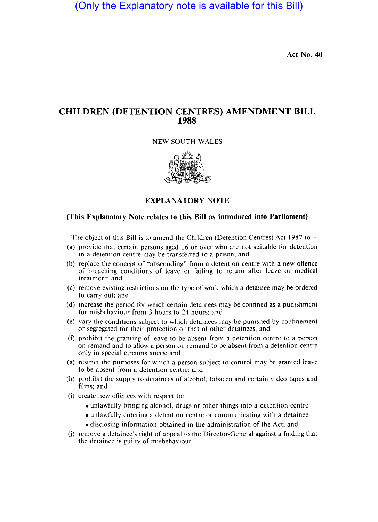(Only the Explanatory note is available for this Bill)

**Act No. 40** 

# **CHILDREN (DETENTION CENTRES) AMENDMENT BILL 1988**

#### NEW SOUTH WALES



## **EXPLANATORY NOTE**

### **(This Explanatory Note relates to this Bill as introduced into Parliament)**

The object of this Bill is to amend the Children (Detention Centres) Act 1987 to-

- (a) provide that certain persons aged 16 or over who are not suitable for detention in a detention centre may be transferred to a prison; and
- (b) replace the concept of "absconding" from a detention centre with a new offence of breaching conditions of leave or failing to return after leave or medical treatment; and
- (c) remove existing restrictions on the type of work which a detainee may be ordered to carry out; and
- (d) increase the period for which certain detainees may be confined as a punishment for misbehaviour from 3 hours to 24 hours; and
- (e) vary the conditions subject to which detainees may be punished by confinement or segregated for their protection or that of other detainees; and
- (f) prohibit the granting of leave to be absent from a detention centre to a person on remand and to allow a person on remand to be absent from a detention centre only in special circumstances; and
- (g) restrict the purposes for which a person subject to control may be granted leave to be absent from a detention centre; and
- (h) prohibit the supply to detainees of alcohol, tobacco and certain video tapes and films; and
- (i) create new offences with respect to:
	- unlawfully bringing alcohol, drugs or other things into a detention centre
	- unlawfully entering a detention centre or communicating with a detainee
	- disclosing information obtained in the administration of the Act; and
- (j) remove a detainee's right of appeal to the Director-General against a finding that the detainee is guilty of misbehaviour.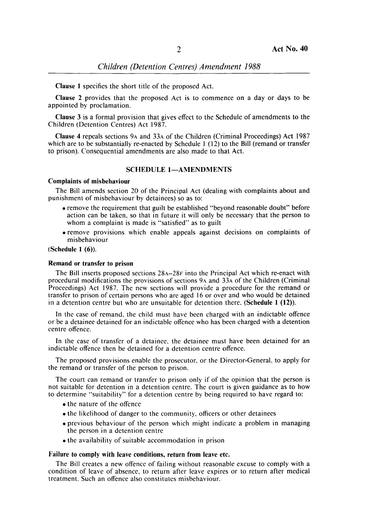*Children (Detention Centres) Amendment 1988* 

Clause I specifies the short title of the proposed Act.

Clause 2 provides that the proposed Act is to commence on a day or days to be appointed by proclamation.

Clause 3 is a formal provision that gives effect to the Schedule of amendments to the Children (Detention Centres) Act 1987.

Clause 4 repeals sections 9A and 33A of the Children (Criminal Proceedings) Act 1987 which are to be substantially re-enacted by Schedule 1 (12) to the Bill (remand or transfer to prison). Consequential amendments are also made to that Act.

### SCHEDULE 1-AMENDMENTS

#### Complaints of misbehaviour

The Bill amends section 20 of the Principal Act (dealing with complaints about and punishment of misbehaviour by detainees) so as to:

- remove the requirement that guilt be established "beyond reasonable doubt" before action can be taken, so that in future it will only be necessary that the person to whom a complaint is made is "satisfied" as to guilt
- remove provisions which enable appeals against decisions on complaints of misbehaviour

(Schedule 1 (6)).

### Remand or transfer to prison

The Bill inserts proposed sections 28A-28F into the Principal Act which re-enact with procedural modifications the provisions of sections 9A and 33A of the Children (Criminal Proceedings) Act 1987. The new sections will provide a procedure for the remand or transfer to prison of certain persons who are aged 16 or over and who would be detained in a detention centre but who are unsuitable for detention there. (Schedule 1 (12)).

In the case of remand, the child must have been charged with an indictable offence or be a detainee detained for an indictable offence who has been charged with a detention centre offence.

In the case of transfer of a detainee, the detainee must have been detained for an indictable offence then be detained for a detention centre offence.

The proposed provisions enable the prosecutor, or the Director-General, to apply for the remand or transfer of the person to prison.

The court can remand or transfer to prison only if of the opinion that the person is not suitable for detention in a detention centre. The court is given guidance as to how to determine "suitability" for a detention centre by being required to have regard to:

- the nature of the offence
- the likelihood of danger to the community, officers or other detainees
- previous behaviour of the person which might indicate a problem in managing the person in a detention centre
- the availability of suitable accommodation in prison

#### Failure to comply with leave conditions, return from leave etc.

The Bill creates a new offence of failing without reasonable excuse to comply with a condition of leave of absence, to return after leave expires or to return after medical treatment. Such an offence also constitutes misbehaviour.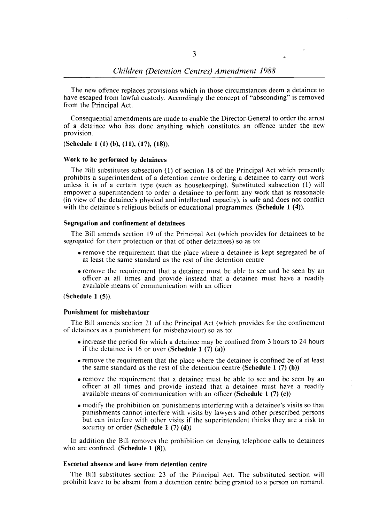The new offence replaces provisions which in those circumstances deem a detainee to have escaped from lawful custody. Accordingly the concept of "absconding" is removed from the Principal Act.

Consequential amendments are made to enable the Director-General to order the arrest of a detainee who has done anything which constitutes an offence under the new provision.

(Schedule 1 (1) (b), (11), (17), (18».

#### Work to be performed by detainees

The Bill substitutes subsection (1) of section 18 of the Principal Act which presently prohibits a superintendent of a detention centre ordering a detainee to carry out work unless it is of a certain type (such as housekeeping). Substituted subsection (1) will empower a superintendent to order a detainee to perform any work that is reasonable (in view of the detainee's physical and intellectual capacity), is safe and does not conflict with the detainee's religious beliefs or educational programmes. (Schedule 1 (4)).

#### Segregation and confinement of detainees

The Bill amends section 19 of the Principal Act (which provides for detainees to be segregated for their protection or that of other detainees) so as to:

- remove the requirement that the place where a detainee is kept segregated be of at least the same standard as the rest of the detention centre
- remove the requirement that a detainee must be able to see and be seen by an officer at all times and provide instead that a detainee must have a readily available means of communication with an officer

### (Schedule 1 (5)).

#### Punishment for misbehaviour

The Bill amends section 21 of the Principal Act (which provides for the confinement of detainees as a punishment for misbehaviour) so as to:

- increase the period for which a detainee may be confined from 3 hours to 24 hours if the detainee is 16 or over (Schedule 1  $(7)$  (a))
- remove the requirement that the place where the detainee is confined be of at least the same standard as the rest of the detention centre (Schedule  $1(7)(b)$ )
- remove the requirement that a detainee must be able to see and be seen by an officer at all times and provide instead that a detainee must have a readily available means of communication with an officer (Schedule  $1(7)(c)$ )
- modify the prohibition on punishments interfering with a detainee's visits so that punishments cannot interfere with visits by lawyers and other prescribed persons but can interfere with other visits if the superintendent thinks they are a risk to security or order (Schedule  $1(7)(d)$ )

In addition the Bill removes the prohibition on denying telephone calls to detainees who are confined. (Schedule 1 (8)).

### Escorted absence and leave from detention centre

The Bill substitutes section 23 of the Principal Act. The substituted section will prohibit leave to be absent from a detention centre being granted to a person on remanet